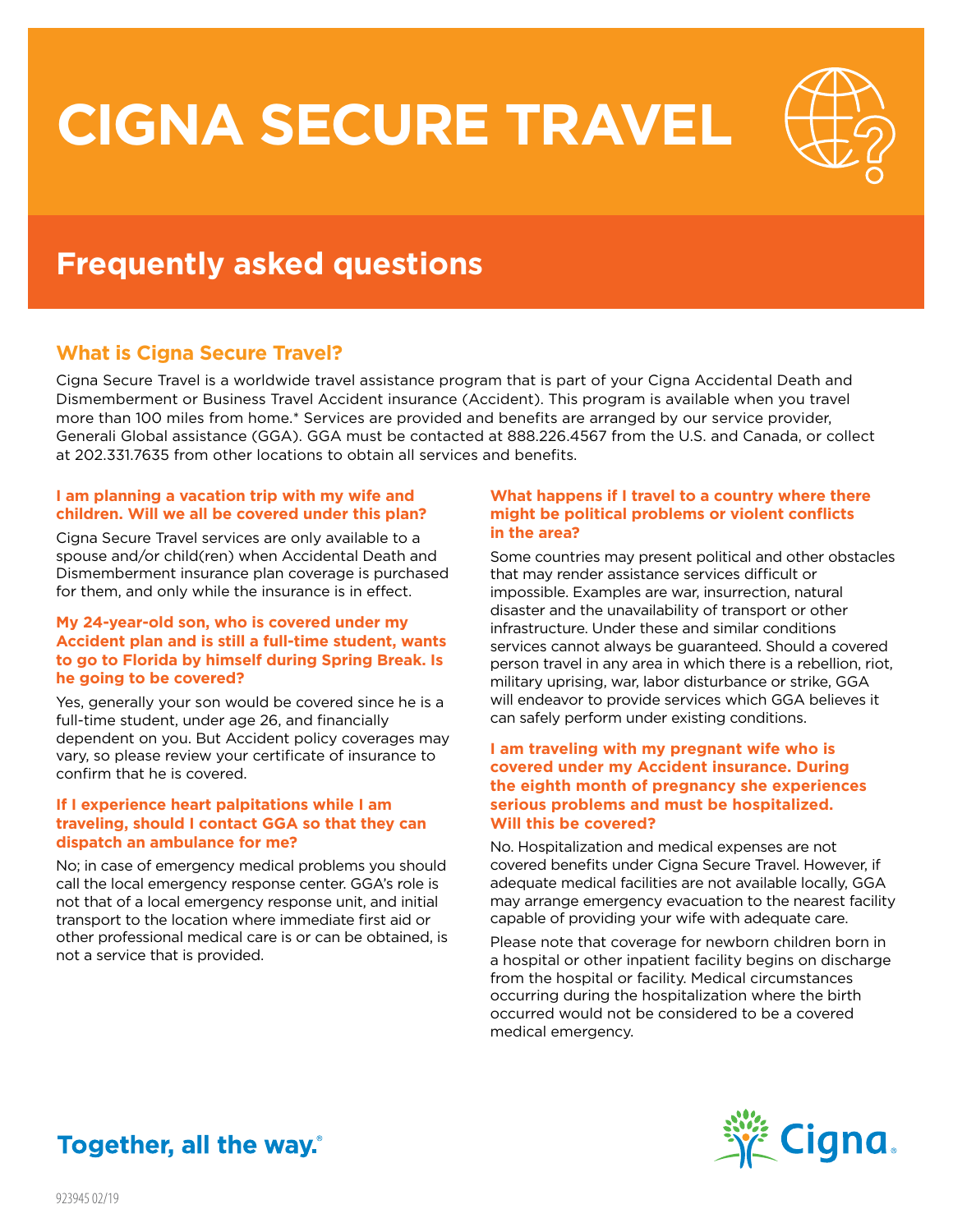# **CIGNA SECURE TRAVEL**



## **Frequently asked questions**

### **What is Cigna Secure Travel?**

Cigna Secure Travel is a worldwide travel assistance program that is part of your Cigna Accidental Death and Dismemberment or Business Travel Accident insurance (Accident). This program is available when you travel more than 100 miles from home.\* Services are provided and benefits are arranged by our service provider, Generali Global assistance (GGA). GGA must be contacted at 888.226.4567 from the U.S. and Canada, or collect at 202.331.7635 from other locations to obtain all services and benefits.

#### **I am planning a vacation trip with my wife and children. Will we all be covered under this plan?**

Cigna Secure Travel services are only available to a spouse and/or child(ren) when Accidental Death and Dismemberment insurance plan coverage is purchased for them, and only while the insurance is in effect.

#### **My 24-year-old son, who is covered under my Accident plan and is still a full-time student, wants to go to Florida by himself during Spring Break. Is he going to be covered?**

Yes, generally your son would be covered since he is a full-time student, under age 26, and financially dependent on you. But Accident policy coverages may vary, so please review your certificate of insurance to confirm that he is covered.

#### **If I experience heart palpitations while I am traveling, should I contact GGA so that they can dispatch an ambulance for me?**

No; in case of emergency medical problems you should call the local emergency response center. GGA's role is not that of a local emergency response unit, and initial transport to the location where immediate first aid or other professional medical care is or can be obtained, is not a service that is provided.

#### **What happens if I travel to a country where there might be political problems or violent conflicts in the area?**

Some countries may present political and other obstacles that may render assistance services difficult or impossible. Examples are war, insurrection, natural disaster and the unavailability of transport or other infrastructure. Under these and similar conditions services cannot always be guaranteed. Should a covered person travel in any area in which there is a rebellion, riot, military uprising, war, labor disturbance or strike, GGA will endeavor to provide services which GGA believes it can safely perform under existing conditions.

#### **I am traveling with my pregnant wife who is covered under my Accident insurance. During the eighth month of pregnancy she experiences serious problems and must be hospitalized. Will this be covered?**

No. Hospitalization and medical expenses are not covered benefits under Cigna Secure Travel. However, if adequate medical facilities are not available locally, GGA may arrange emergency evacuation to the nearest facility capable of providing your wife with adequate care.

Please note that coverage for newborn children born in a hospital or other inpatient facility begins on discharge from the hospital or facility. Medical circumstances occurring during the hospitalization where the birth occurred would not be considered to be a covered medical emergency.



## Together, all the way.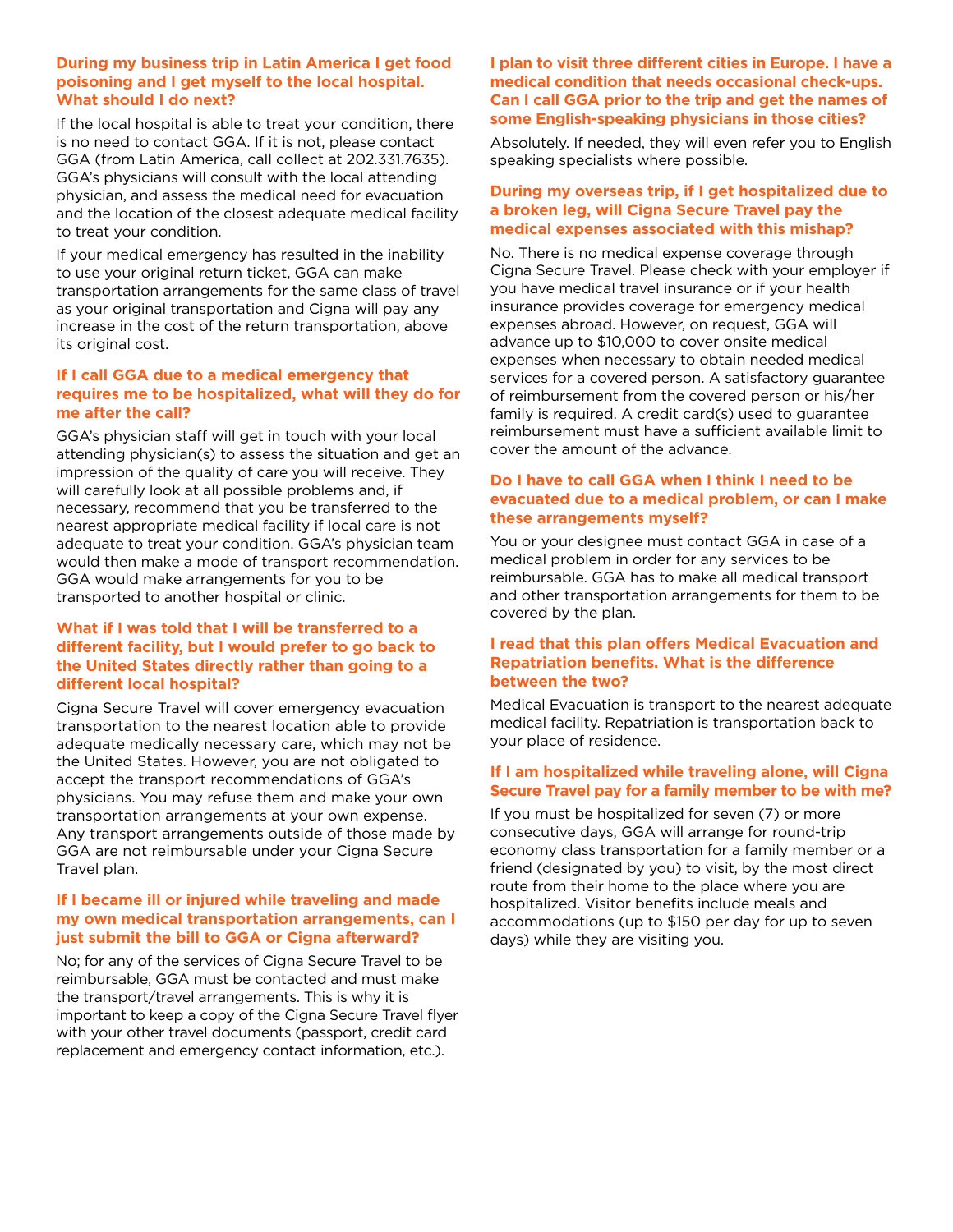#### **During my business trip in Latin America I get food poisoning and I get myself to the local hospital. What should I do next?**

If the local hospital is able to treat your condition, there is no need to contact GGA. If it is not, please contact GGA (from Latin America, call collect at 202.331.7635). GGA's physicians will consult with the local attending physician, and assess the medical need for evacuation and the location of the closest adequate medical facility to treat your condition.

If your medical emergency has resulted in the inability to use your original return ticket, GGA can make transportation arrangements for the same class of travel as your original transportation and Cigna will pay any increase in the cost of the return transportation, above its original cost.

#### **If I call GGA due to a medical emergency that requires me to be hospitalized, what will they do for me after the call?**

GGA's physician staff will get in touch with your local attending physician(s) to assess the situation and get an impression of the quality of care you will receive. They will carefully look at all possible problems and, if necessary, recommend that you be transferred to the nearest appropriate medical facility if local care is not adequate to treat your condition. GGA's physician team would then make a mode of transport recommendation. GGA would make arrangements for you to be transported to another hospital or clinic.

#### **What if I was told that I will be transferred to a different facility, but I would prefer to go back to the United States directly rather than going to a different local hospital?**

Cigna Secure Travel will cover emergency evacuation transportation to the nearest location able to provide adequate medically necessary care, which may not be the United States. However, you are not obligated to accept the transport recommendations of GGA's physicians. You may refuse them and make your own transportation arrangements at your own expense. Any transport arrangements outside of those made by GGA are not reimbursable under your Cigna Secure Travel plan.

#### **If I became ill or injured while traveling and made my own medical transportation arrangements, can I just submit the bill to GGA or Cigna afterward?**

No; for any of the services of Cigna Secure Travel to be reimbursable, GGA must be contacted and must make the transport/travel arrangements. This is why it is important to keep a copy of the Cigna Secure Travel flyer with your other travel documents (passport, credit card replacement and emergency contact information, etc.).

#### **I plan to visit three different cities in Europe. I have a medical condition that needs occasional check-ups. Can I call GGA prior to the trip and get the names of some English-speaking physicians in those cities?**

Absolutely. If needed, they will even refer you to English speaking specialists where possible.

#### **During my overseas trip, if I get hospitalized due to a broken leg, will Cigna Secure Travel pay the medical expenses associated with this mishap?**

No. There is no medical expense coverage through Cigna Secure Travel. Please check with your employer if you have medical travel insurance or if your health insurance provides coverage for emergency medical expenses abroad. However, on request, GGA will advance up to \$10,000 to cover onsite medical expenses when necessary to obtain needed medical services for a covered person. A satisfactory guarantee of reimbursement from the covered person or his/her family is required. A credit card(s) used to guarantee reimbursement must have a sufficient available limit to cover the amount of the advance.

#### **Do I have to call GGA when I think I need to be evacuated due to a medical problem, or can I make these arrangements myself?**

You or your designee must contact GGA in case of a medical problem in order for any services to be reimbursable. GGA has to make all medical transport and other transportation arrangements for them to be covered by the plan.

#### **I read that this plan offers Medical Evacuation and Repatriation benefits. What is the difference between the two?**

Medical Evacuation is transport to the nearest adequate medical facility. Repatriation is transportation back to your place of residence.

#### **If I am hospitalized while traveling alone, will Cigna Secure Travel pay for a family member to be with me?**

If you must be hospitalized for seven (7) or more consecutive days, GGA will arrange for round-trip economy class transportation for a family member or a friend (designated by you) to visit, by the most direct route from their home to the place where you are hospitalized. Visitor benefits include meals and accommodations (up to \$150 per day for up to seven days) while they are visiting you.